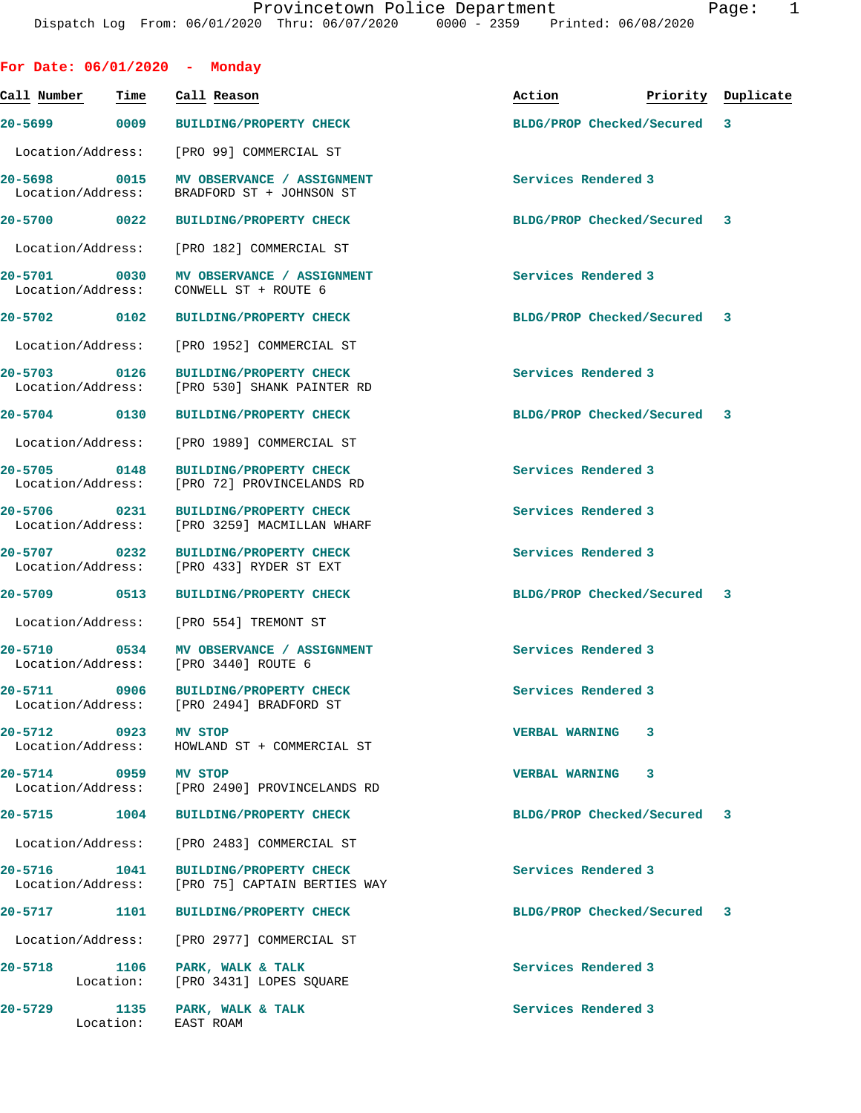|                                   |                                   | For Date: 06/01/2020 - Monday                                                         |                             |   |                    |
|-----------------------------------|-----------------------------------|---------------------------------------------------------------------------------------|-----------------------------|---|--------------------|
| Call Number                       | Time                              | Call Reason                                                                           | Action                      |   | Priority Duplicate |
|                                   | 20-5699 0009                      | <b>BUILDING/PROPERTY CHECK</b>                                                        | BLDG/PROP Checked/Secured   |   | 3                  |
|                                   | Location/Address:                 | [PRO 99] COMMERCIAL ST                                                                |                             |   |                    |
|                                   |                                   | 20-5698 0015 MV OBSERVANCE / ASSIGNMENT<br>Location/Address: BRADFORD ST + JOHNSON ST | Services Rendered 3         |   |                    |
| 20-5700 0022                      |                                   | <b>BUILDING/PROPERTY CHECK</b>                                                        | BLDG/PROP Checked/Secured 3 |   |                    |
| Location/Address:                 |                                   | [PRO 182] COMMERCIAL ST                                                               |                             |   |                    |
| 20-5701<br>Location/Address:      | 0030                              | MV OBSERVANCE / ASSIGNMENT<br>CONWELL ST + ROUTE 6                                    | Services Rendered 3         |   |                    |
| 20-5702 0102                      |                                   | <b>BUILDING/PROPERTY CHECK</b>                                                        | BLDG/PROP Checked/Secured 3 |   |                    |
|                                   | Location/Address:                 | [PRO 1952] COMMERCIAL ST                                                              |                             |   |                    |
|                                   | 20-5703 0126<br>Location/Address: | <b>BUILDING/PROPERTY CHECK</b><br>[PRO 530] SHANK PAINTER RD                          | Services Rendered 3         |   |                    |
| 20-5704 0130                      |                                   | <b>BUILDING/PROPERTY CHECK</b>                                                        | BLDG/PROP Checked/Secured 3 |   |                    |
| Location/Address:                 |                                   | [PRO 1989] COMMERCIAL ST                                                              |                             |   |                    |
|                                   | 20-5705 0148<br>Location/Address: | <b>BUILDING/PROPERTY CHECK</b><br>[PRO 72] PROVINCELANDS RD                           | Services Rendered 3         |   |                    |
| 20-5706 0231<br>Location/Address: |                                   | <b>BUILDING/PROPERTY CHECK</b><br>[PRO 3259] MACMILLAN WHARF                          | Services Rendered 3         |   |                    |
| 20-5707 0232                      | Location/Address:                 | <b>BUILDING/PROPERTY CHECK</b><br>[PRO 433] RYDER ST EXT                              | Services Rendered 3         |   |                    |
| 20-5709 0513                      |                                   | <b>BUILDING/PROPERTY CHECK</b>                                                        | BLDG/PROP Checked/Secured 3 |   |                    |
|                                   | Location/Address:                 | [PRO 554] TREMONT ST                                                                  |                             |   |                    |
|                                   | 20-5710 0534                      | MV OBSERVANCE / ASSIGNMENT<br>Location/Address: [PRO 3440] ROUTE 6                    | Services Rendered 3         |   |                    |
|                                   |                                   | 20-5711 0906 BUILDING/PROPERTY CHECK<br>Location/Address: [PRO 2494] BRADFORD ST      | Services Rendered 3         |   |                    |
|                                   | 20-5712 0923 MV STOP              | Location/Address: HOWLAND ST + COMMERCIAL ST                                          | <b>VERBAL WARNING</b>       | 3 |                    |
|                                   | 20-5714 0959 MV STOP              | Location/Address: [PRO 2490] PROVINCELANDS RD                                         | VERBAL WARNING 3            |   |                    |
|                                   | 20-5715 1004                      | <b>BUILDING/PROPERTY CHECK</b>                                                        | BLDG/PROP Checked/Secured 3 |   |                    |
|                                   |                                   | Location/Address: [PRO 2483] COMMERCIAL ST                                            |                             |   |                    |
|                                   | 20-5716 1041                      | <b>BUILDING/PROPERTY CHECK</b><br>Location/Address: [PRO 75] CAPTAIN BERTIES WAY      | Services Rendered 3         |   |                    |
|                                   |                                   | 20-5717 1101 BUILDING/PROPERTY CHECK                                                  | BLDG/PROP Checked/Secured 3 |   |                    |
|                                   | Location/Address:                 | [PRO 2977] COMMERCIAL ST                                                              |                             |   |                    |
|                                   | 20-5718 1106                      | PARK, WALK & TALK<br>Location: [PRO 3431] LOPES SQUARE                                | Services Rendered 3         |   |                    |
| 20-5729                           | Location: EAST ROAM               | 1135 PARK, WALK & TALK                                                                | Services Rendered 3         |   |                    |
|                                   |                                   |                                                                                       |                             |   |                    |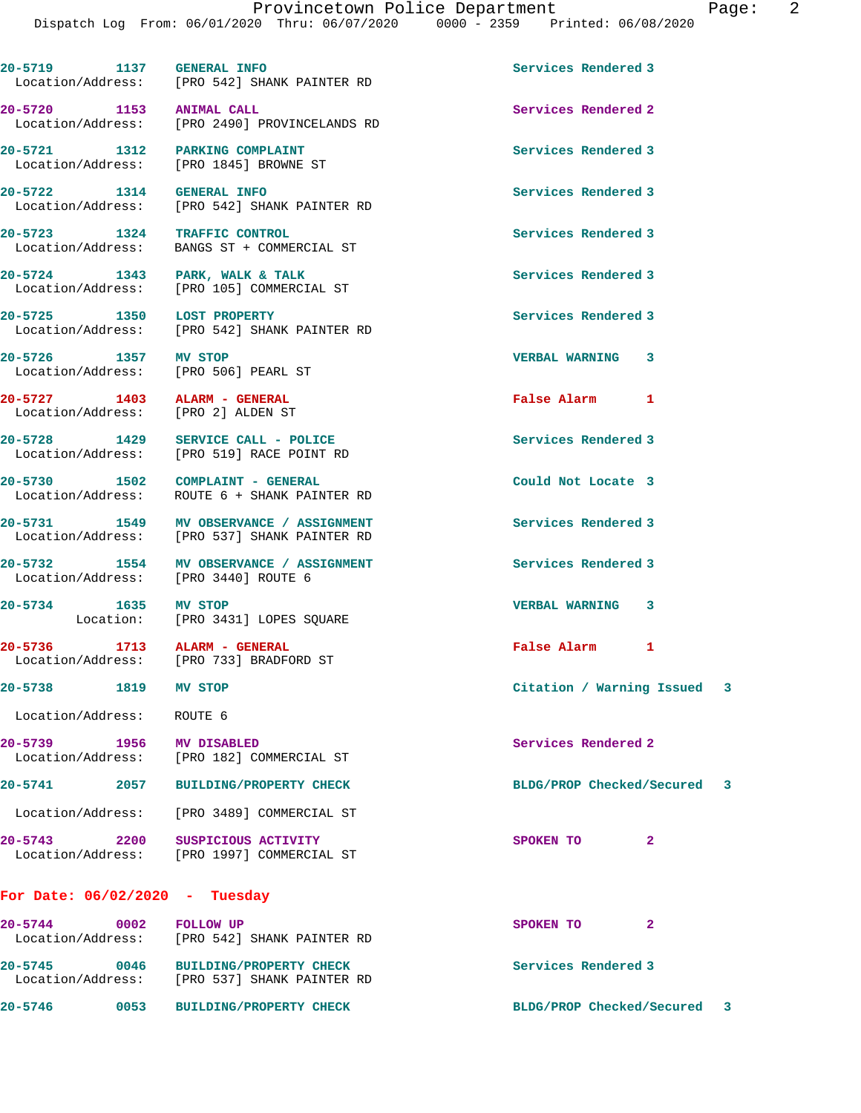Dispatch Log From: 06/01/2020 Thru: 06/07/2020 0000 - 2359 Printed: 06/08/2020 **20-5719 1137 GENERAL INFO Services Rendered 3**  Location/Address: [PRO 542] SHANK PAINTER RD **20-5720 1153 ANIMAL CALL Services Rendered 2**  Location/Address: [PRO 2490] PROVINCELANDS RD **20-5721 1312 PARKING COMPLAINT Services Rendered 3**  Location/Address: [PRO 1845] BROWNE ST **20-5722 1314 GENERAL INFO Services Rendered 3**  [PRO 542] SHANK PAINTER RD **20-5723 1324 TRAFFIC CONTROL Services Rendered 3**  Location/Address: BANGS ST + COMMERCIAL ST 20-5724 1343 PARK, WALK & TALK **Services Rendered** 3 Location/Address: [PRO 105] COMMERCIAL ST **20-5725 1350 LOST PROPERTY Services Rendered 3**  Location/Address: [PRO 542] SHANK PAINTER RD **20-5726 1357 MV STOP VERBAL WARNING 3**  Location/Address: [PRO 506] PEARL ST **20-5727 1403 ALARM - GENERAL False Alarm 1**  Location/Address: [PRO 2] ALDEN ST **20-5728 1429 SERVICE CALL - POLICE Services Rendered 3**  Location/Address: [PRO 519] RACE POINT RD **20-5730 1502 COMPLAINT - GENERAL Could Not Locate 3**  Location/Address: ROUTE 6 + SHANK PAINTER RD **20-5731 1549 MV OBSERVANCE / ASSIGNMENT Services Rendered 3**  Location/Address: [PRO 537] SHANK PAINTER RD 20-5732 1554 MV OBSERVANCE / ASSIGNMENT **Services Rendered 3 1554** MV OBSERVANCE / ASSIGNMENT Location/Address: **20-5734 1635 MV STOP VERBAL WARNING 3**  Location: [PRO 3431] LOPES SQUARE **20-5736 1713 ALARM - GENERAL False Alarm 1**  Location/Address: [PRO 733] BRADFORD ST **20-5738 1819 MV STOP Citation / Warning Issued 3** Location/Address: ROUTE 6 **20-5739 1956 MV DISABLED Services Rendered 2**  Location/Address: [PRO 182] COMMERCIAL ST **20-5741 2057 BUILDING/PROPERTY CHECK BLDG/PROP Checked/Secured 3** Location/Address: [PRO 3489] COMMERCIAL ST **20-5743 2200 SUSPICIOUS ACTIVITY SPOKEN TO 2**  Location/Address: [PRO 1997] COMMERCIAL ST **For Date: 06/02/2020 - Tuesday 20-5744 0002 FOLLOW UP SPOKEN TO 2**  Location/Address: [PRO 542] SHANK PAINTER RD

**20-5745 0046 BUILDING/PROPERTY CHECK Services Rendered 3**  Location/Address: [PRO 537] SHANK PAINTER RD **20-5746 0053 BUILDING/PROPERTY CHECK BLDG/PROP Checked/Secured 3**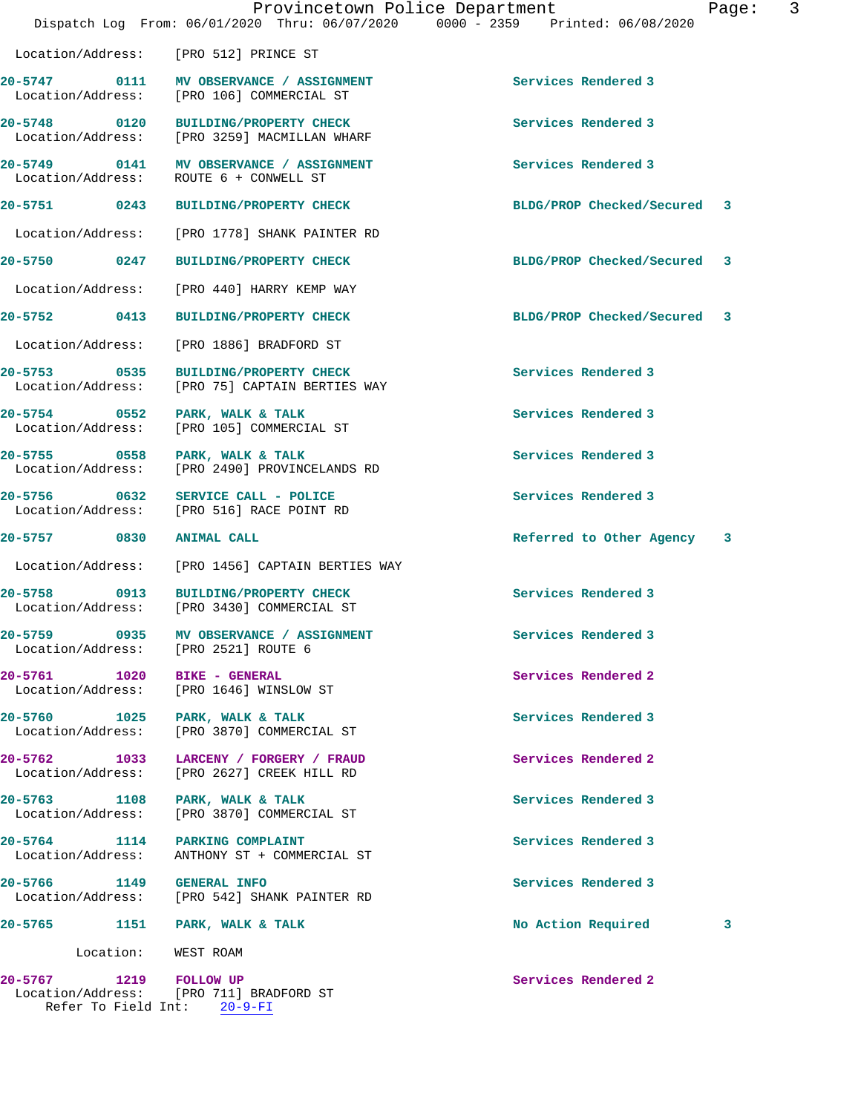|                                          |           |                                                                                 | Provincetown Police Department  | Page: | 3 |
|------------------------------------------|-----------|---------------------------------------------------------------------------------|---------------------------------|-------|---|
|                                          |           | Dispatch Log From: 06/01/2020 Thru: 06/07/2020                                  | 0000 - 2359 Printed: 06/08/2020 |       |   |
|                                          |           | Location/Address: [PRO 512] PRINCE ST                                           |                                 |       |   |
| 20-5747 0111<br>Location/Address:        |           | MV OBSERVANCE / ASSIGNMENT<br>[PRO 106] COMMERCIAL ST                           | Services Rendered 3             |       |   |
| 20-5748 0120                             |           | BUILDING/PROPERTY CHECK<br>Location/Address: [PRO 3259] MACMILLAN WHARF         | Services Rendered 3             |       |   |
| Location/Address:                        |           | 20-5749 0141 MV OBSERVANCE / ASSIGNMENT<br>ROUTE 6 + CONWELL ST                 | Services Rendered 3             |       |   |
| 20-5751 0243                             |           | <b>BUILDING/PROPERTY CHECK</b>                                                  | BLDG/PROP Checked/Secured 3     |       |   |
| Location/Address:                        |           | [PRO 1778] SHANK PAINTER RD                                                     |                                 |       |   |
| 20-5750 0247                             |           | <b>BUILDING/PROPERTY CHECK</b>                                                  | BLDG/PROP Checked/Secured       | 3     |   |
| Location/Address:                        |           | [PRO 440] HARRY KEMP WAY                                                        |                                 |       |   |
| 20-5752 0413                             |           | <b>BUILDING/PROPERTY CHECK</b>                                                  | BLDG/PROP Checked/Secured       | 3     |   |
| Location/Address:                        |           | [PRO 1886] BRADFORD ST                                                          |                                 |       |   |
| 0535<br>$20 - 5753$<br>Location/Address: |           | <b>BUILDING/PROPERTY CHECK</b><br>[PRO 75] CAPTAIN BERTIES WAY                  | Services Rendered 3             |       |   |
| 20-5754 0552<br>Location/Address:        |           | PARK, WALK & TALK<br>[PRO 105] COMMERCIAL ST                                    | Services Rendered 3             |       |   |
| 20-5755 0558<br>Location/Address:        |           | PARK, WALK & TALK<br>[PRO 2490] PROVINCELANDS RD                                | Services Rendered 3             |       |   |
| 20-5756 0632                             |           | SERVICE CALL - POLICE<br>Location/Address: [PRO 516] RACE POINT RD              | Services Rendered 3             |       |   |
| 20-5757 0830                             |           | <b>ANIMAL CALL</b>                                                              | Referred to Other Agency        | 3     |   |
| Location/Address:                        |           | [PRO 1456] CAPTAIN BERTIES WAY                                                  |                                 |       |   |
| $20 - 5758$                              |           | 0913 BUILDING/PROPERTY CHECK<br>Location/Address: [PRO 3430] COMMERCIAL ST      | Services Rendered 3             |       |   |
|                                          |           | 20-5759 0935 MV OBSERVANCE / ASSIGNMENT<br>Location/Address: [PRO 2521] ROUTE 6 | Services Rendered 3             |       |   |
| Location/Address:                        |           | 20-5761 1020 BIKE - GENERAL<br>[PRO 1646] WINSLOW ST                            | Services Rendered 2             |       |   |
| 20-5760 1025<br>Location/Address:        |           | PARK, WALK & TALK<br>[PRO 3870] COMMERCIAL ST                                   | Services Rendered 3             |       |   |
| 20-5762 1033<br>Location/Address:        |           | LARCENY / FORGERY / FRAUD<br>[PRO 2627] CREEK HILL RD                           | Services Rendered 2             |       |   |
| 20-5763 1108<br>Location/Address:        |           | PARK, WALK & TALK<br>[PRO 3870] COMMERCIAL ST                                   | Services Rendered 3             |       |   |
| 20-5764 1114<br>Location/Address:        |           | <b>PARKING COMPLAINT</b><br>ANTHONY ST + COMMERCIAL ST                          | Services Rendered 3             |       |   |
|                                          |           | 20-5766 1149 GENERAL INFO<br>Location/Address: [PRO 542] SHANK PAINTER RD       | Services Rendered 3             |       |   |
| $20 - 5765$                              | 1151      | PARK, WALK & TALK                                                               | No Action Required              | 3     |   |
|                                          | Location: | WEST ROAM                                                                       |                                 |       |   |
| 20-5767 1219 FOLLOW UP                   |           | Location/Address: [PRO 711] BRADFORD ST<br>Refer To Field Int: $20-9-FI$        | Services Rendered 2             |       |   |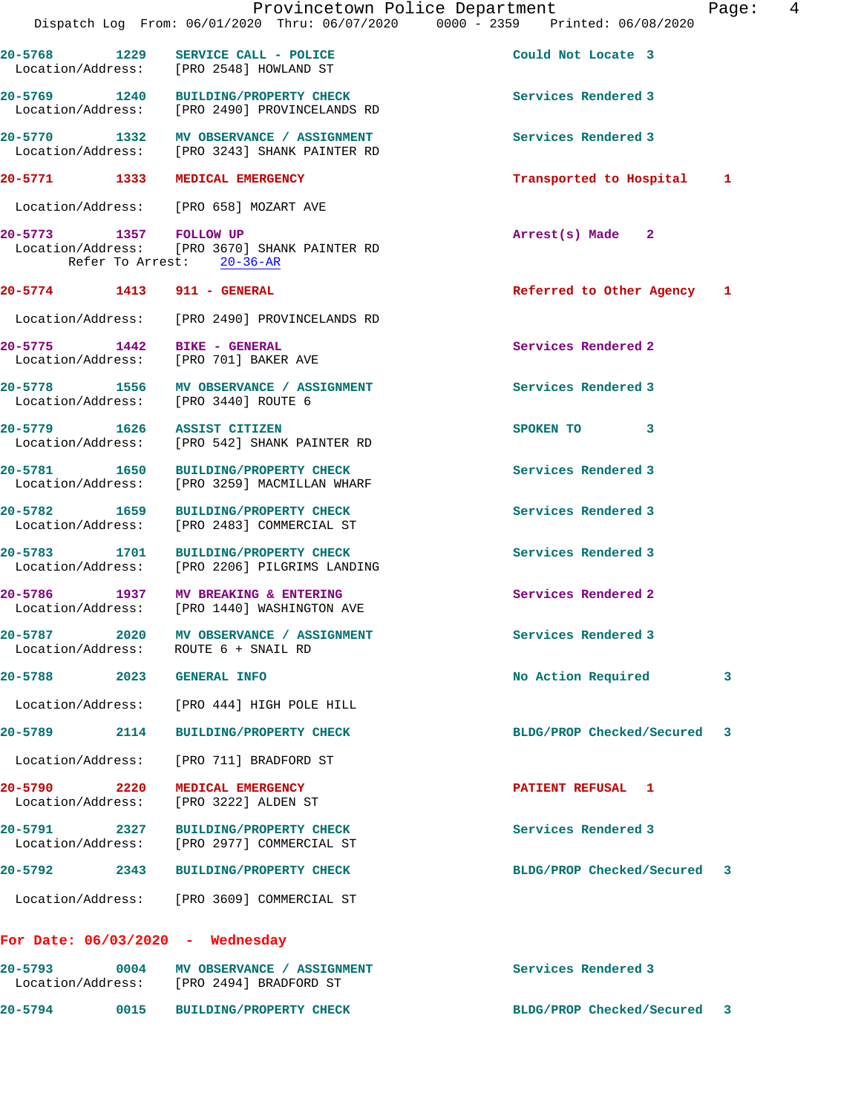|                                      |      | Provincetown Police Department<br>Dispatch Log From: 06/01/2020 Thru: 06/07/2020 0000 - 2359 Printed: 06/08/2020 |                            | Page: | 4 |
|--------------------------------------|------|------------------------------------------------------------------------------------------------------------------|----------------------------|-------|---|
|                                      |      | 20-5768 1229 SERVICE CALL - POLICE<br>Location/Address: [PRO 2548] HOWLAND ST                                    | Could Not Locate 3         |       |   |
|                                      |      | 20-5769 1240 BUILDING/PROPERTY CHECK<br>Location/Address: [PRO 2490] PROVINCELANDS RD                            | Services Rendered 3        |       |   |
|                                      |      | 20-5770 1332 MV OBSERVANCE / ASSIGNMENT<br>Location/Address: [PRO 3243] SHANK PAINTER RD                         | Services Rendered 3        |       |   |
|                                      |      | 20-5771 1333 MEDICAL EMERGENCY                                                                                   | Transported to Hospital    | 1     |   |
|                                      |      | Location/Address: [PRO 658] MOZART AVE                                                                           |                            |       |   |
| 20-5773 1357 FOLLOW UP               |      | Location/Address: [PRO 3670] SHANK PAINTER RD<br>Refer To Arrest: 20-36-AR                                       | $Arrest(s)$ Made 2         |       |   |
|                                      |      | 20-5774 1413 911 - GENERAL                                                                                       | Referred to Other Agency 1 |       |   |
|                                      |      | Location/Address: [PRO 2490] PROVINCELANDS RD                                                                    |                            |       |   |
|                                      |      | 20-5775 1442 BIKE - GENERAL<br>Location/Address: [PRO 701] BAKER AVE                                             | Services Rendered 2        |       |   |
|                                      |      | 20-5778 1556 MV OBSERVANCE / ASSIGNMENT<br>Location/Address: [PRO 3440] ROUTE 6                                  | Services Rendered 3        |       |   |
|                                      |      | 20-5779 1626 ASSIST CITIZEN<br>Location/Address: [PRO 542] SHANK PAINTER RD                                      | SPOKEN TO 3                |       |   |
|                                      |      | 20-5781 1650 BUILDING/PROPERTY CHECK<br>Location/Address: [PRO 3259] MACMILLAN WHARF                             | Services Rendered 3        |       |   |
| Location/Address:                    |      | 20-5782 1659 BUILDING/PROPERTY CHECK<br>[PRO 2483] COMMERCIAL ST                                                 | Services Rendered 3        |       |   |
|                                      |      | 20-5783 1701 BUILDING/PROPERTY CHECK<br>Location/Address: [PRO 2206] PILGRIMS LANDING                            | Services Rendered 3        |       |   |
|                                      |      | 20-5786 1937 MV BREAKING & ENTERING<br>Location/Address: [PRO 1440] WASHINGTON AVE                               | Services Rendered 2        |       |   |
| $20 - 5787$<br>Location/Address:     | 2020 | MV OBSERVANCE / ASSIGNMENT<br>ROUTE 6 + SNAIL RD                                                                 | Services Rendered 3        |       |   |
| 20-5788 2023                         |      | <b>GENERAL INFO</b>                                                                                              | No Action Required         | 3     |   |
| Location/Address:                    |      | [PRO 444] HIGH POLE HILL                                                                                         |                            |       |   |
| 20-5789                              | 2114 | <b>BUILDING/PROPERTY CHECK</b>                                                                                   | BLDG/PROP Checked/Secured  | 3     |   |
| Location/Address:                    |      | [PRO 711] BRADFORD ST                                                                                            |                            |       |   |
| 20-5790 20-5790<br>Location/Address: | 2220 | MEDICAL EMERGENCY<br>[PRO 3222] ALDEN ST                                                                         | PATIENT REFUSAL 1          |       |   |
| 20-5791<br>Location/Address:         | 2327 | <b>BUILDING/PROPERTY CHECK</b><br>[PRO 2977] COMMERCIAL ST                                                       | Services Rendered 3        |       |   |
| 20-5792                              | 2343 | <b>BUILDING/PROPERTY CHECK</b>                                                                                   | BLDG/PROP Checked/Secured  | 3     |   |
|                                      |      | Location/Address: [PRO 3609] COMMERCIAL ST                                                                       |                            |       |   |
|                                      |      | For Date: $06/03/2020 -$ Wednesday                                                                               |                            |       |   |
| $20 - 5793$                          | 0004 | MV OBSERVANCE / ASSIGNMENT                                                                                       | Services Rendered 3        |       |   |

Location/Address: [PRO 2494] BRADFORD ST

**20-5794 0015 BUILDING/PROPERTY CHECK BLDG/PROP Checked/Secured 3**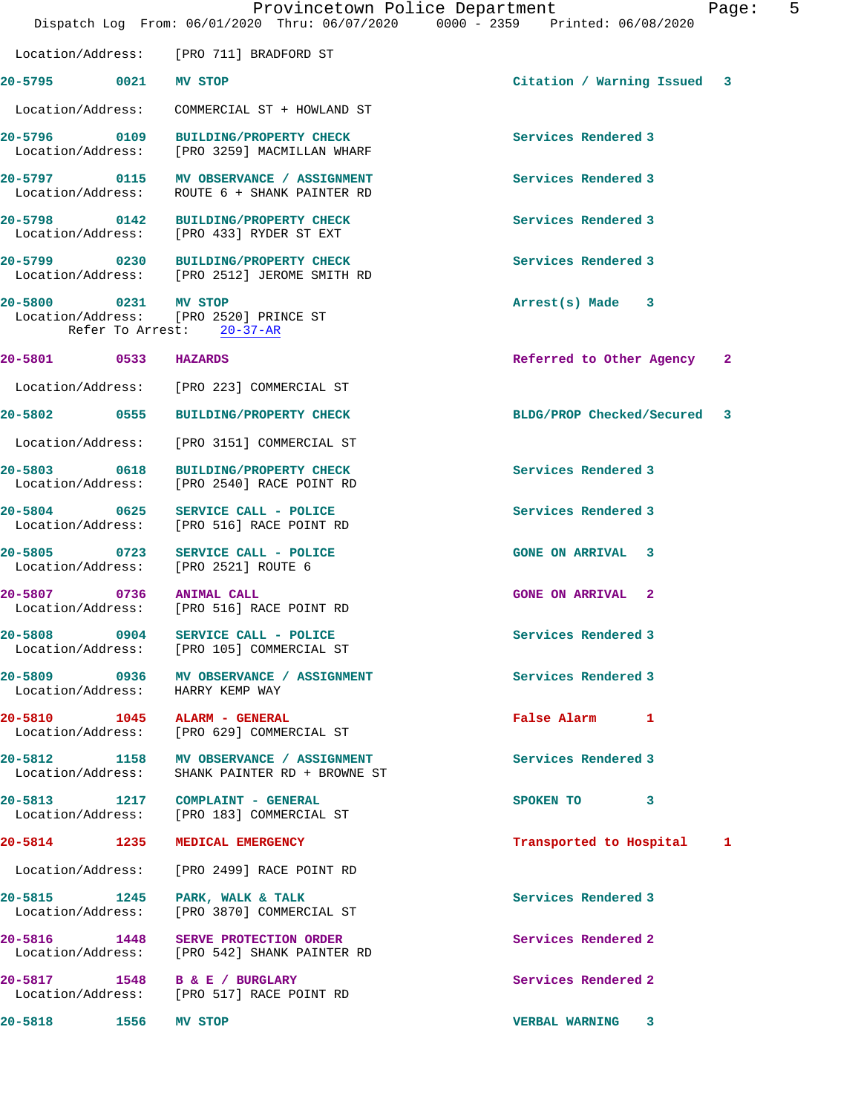|                                                   | Provincetown Police Department<br>Dispatch Log From: 06/01/2020 Thru: 06/07/2020 0000 - 2359 Printed: 06/08/2020 |                             | 5<br>Page: |
|---------------------------------------------------|------------------------------------------------------------------------------------------------------------------|-----------------------------|------------|
|                                                   | Location/Address: [PRO 711] BRADFORD ST                                                                          |                             |            |
| 20-5795 0021 MV STOP                              |                                                                                                                  | Citation / Warning Issued 3 |            |
|                                                   | Location/Address: COMMERCIAL ST + HOWLAND ST                                                                     |                             |            |
|                                                   | 20-5796 0109 BUILDING/PROPERTY CHECK<br>Location/Address: [PRO 3259] MACMILLAN WHARF                             | Services Rendered 3         |            |
|                                                   | 20-5797 0115 MV OBSERVANCE / ASSIGNMENT<br>Location/Address: ROUTE 6 + SHANK PAINTER RD                          | Services Rendered 3         |            |
|                                                   | 20-5798 0142 BUILDING/PROPERTY CHECK<br>Location/Address: [PRO 433] RYDER ST EXT                                 | Services Rendered 3         |            |
|                                                   | 20-5799 0230 BUILDING/PROPERTY CHECK<br>Location/Address: [PRO 2512] JEROME SMITH RD                             | Services Rendered 3         |            |
| 20-5800 0231 MV STOP<br>Refer To Arrest: 20-37-AR | Location/Address: [PRO 2520] PRINCE ST                                                                           | $Arrest(s)$ Made $3$        |            |
| 20-5801 0533 HAZARDS                              |                                                                                                                  | Referred to Other Agency 2  |            |
|                                                   | Location/Address: [PRO 223] COMMERCIAL ST                                                                        |                             |            |
|                                                   | 20-5802 0555 BUILDING/PROPERTY CHECK                                                                             | BLDG/PROP Checked/Secured 3 |            |
|                                                   | Location/Address: [PRO 3151] COMMERCIAL ST                                                                       |                             |            |
|                                                   | 20-5803 0618 BUILDING/PROPERTY CHECK<br>Location/Address: [PRO 2540] RACE POINT RD                               | Services Rendered 3         |            |
|                                                   | 20-5804 0625 SERVICE CALL - POLICE<br>Location/Address: [PRO 516] RACE POINT RD                                  | Services Rendered 3         |            |
|                                                   | 20-5805 0723 SERVICE CALL - POLICE<br>Location/Address: [PRO 2521] ROUTE 6                                       | <b>GONE ON ARRIVAL 3</b>    |            |
| 20-5807 0736 ANIMAL CALL                          | Location/Address: [PRO 516] RACE POINT RD                                                                        | <b>GONE ON ARRIVAL 2</b>    |            |
| 20-5808 0904                                      | SERVICE CALL - POLICE<br>Location/Address: [PRO 105] COMMERCIAL ST                                               | Services Rendered 3         |            |
| Location/Address: HARRY KEMP WAY                  | 20-5809 0936 MV OBSERVANCE / ASSIGNMENT                                                                          | Services Rendered 3         |            |
|                                                   | 20-5810 1045 ALARM - GENERAL<br>Location/Address: [PRO 629] COMMERCIAL ST                                        | False Alarm 1               |            |
| Location/Address:                                 | 20-5812 1158 MV OBSERVANCE / ASSIGNMENT<br>SHANK PAINTER RD + BROWNE ST                                          | Services Rendered 3         |            |
|                                                   | 20-5813 1217 COMPLAINT - GENERAL<br>Location/Address: [PRO 183] COMMERCIAL ST                                    | SPOKEN TO 3                 |            |
| 20-5814 1235 MEDICAL EMERGENCY                    |                                                                                                                  | Transported to Hospital 1   |            |
|                                                   | Location/Address: [PRO 2499] RACE POINT RD                                                                       |                             |            |
|                                                   | 20-5815 1245 PARK, WALK & TALK<br>Location/Address: [PRO 3870] COMMERCIAL ST                                     | Services Rendered 3         |            |
|                                                   | 20-5816 1448 SERVE PROTECTION ORDER<br>Location/Address: [PRO 542] SHANK PAINTER RD                              | Services Rendered 2         |            |
| 20-5817 1548 B & E / BURGLARY                     | Location/Address: [PRO 517] RACE POINT RD                                                                        | Services Rendered 2         |            |
| 1556<br>20-5818                                   | MV STOP                                                                                                          | <b>VERBAL WARNING 3</b>     |            |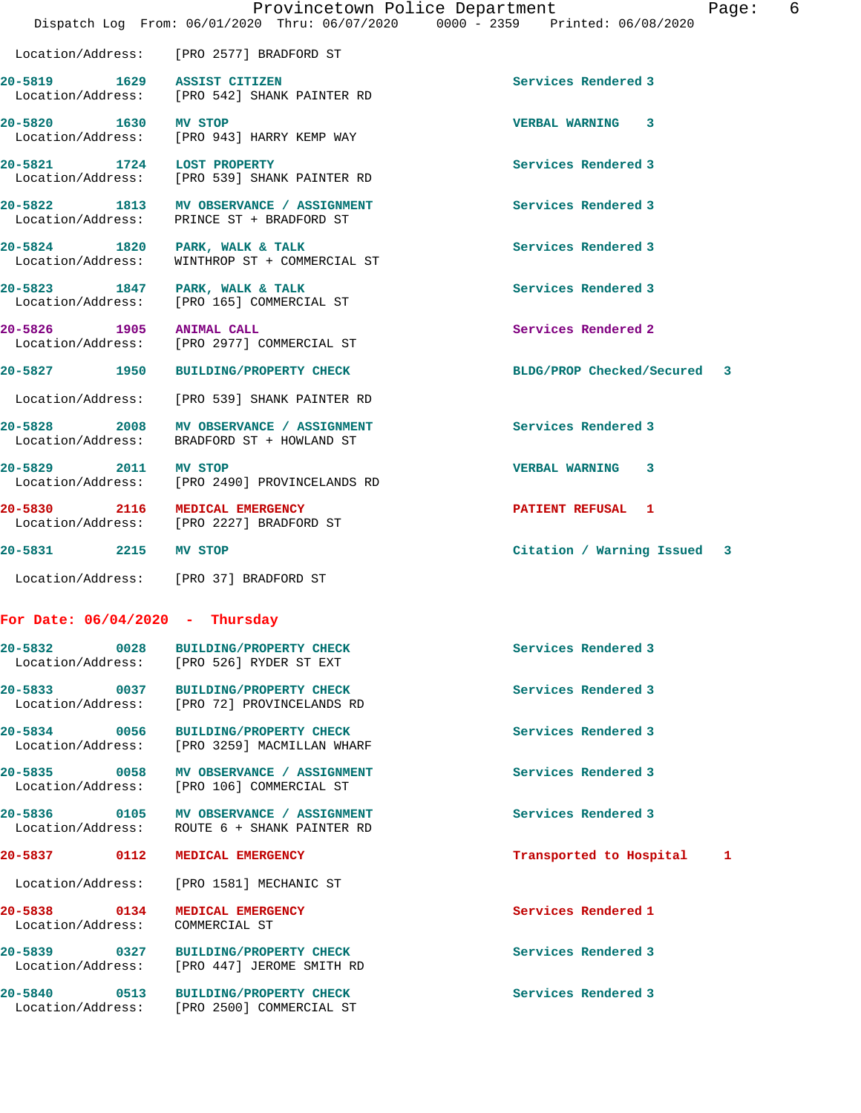| Paqe |
|------|
|------|

 Location/Address: [PRO 2577] BRADFORD ST **20-5819 1629 ASSIST CITIZEN Services Rendered 3**  Location/Address: [PRO 542] SHANK PAINTER RD **20-5820 1630 MV STOP VERBAL WARNING 3**  Location/Address: [PRO 943] HARRY KEMP WAY **20-5821 1724 LOST PROPERTY Services Rendered 3**  Location/Address: [PRO 539] SHANK PAINTER RD **20-5822 1813 MV OBSERVANCE / ASSIGNMENT Services Rendered 3**  Location/Address: PRINCE ST + BRADFORD ST **20-5824 1820 PARK, WALK & TALK Services Rendered 3**  Location/Address: WINTHROP ST + COMMERCIAL ST **20-5823 1847 PARK, WALK & TALK Services Rendered 3**  Location/Address: [PRO 165] COMMERCIAL ST **20-5826 1905 ANIMAL CALL Services Rendered 2**  Location/Address: [PRO 2977] COMMERCIAL ST **20-5827 1950 BUILDING/PROPERTY CHECK BLDG/PROP Checked/Secured 3** Location/Address: [PRO 539] SHANK PAINTER RD 20-5828 2008 MV OBSERVANCE / ASSIGNMENT **Services Rendered 3**  Location/Address: BRADFORD ST + HOWLAND ST **20-5829 2011 MV STOP VERBAL WARNING 3**  Location/Address: [PRO 2490] PROVINCELANDS RD **20-5830 2116 MEDICAL EMERGENCY PATIENT REFUSAL 1**<br>
Location/Address: [PRO 2227] BRADFORD ST [PRO 2227] BRADFORD ST **20-5831 2215 MV STOP Citation / Warning Issued 3** Location/Address: [PRO 37] BRADFORD ST **For Date: 06/04/2020 - Thursday 20-5832 0028 BUILDING/PROPERTY CHECK Services Rendered 3**  Location/Address: [PRO 526] RYDER ST EXT **20-5833 0037 BUILDING/PROPERTY CHECK Services Rendered 3**  Location/Address: [PRO 72] PROVINCELANDS RD **20-5834 0056 BUILDING/PROPERTY CHECK Services Rendered 3**  Location/Address: [PRO 3259] MACMILLAN WHARF 20-5835 0058 MV OBSERVANCE / ASSIGNMENT **Services Rendered 3 Services Rendered 3 Services** Rendered 3 [PRO 106] COMMERCIAL ST **20-5836 0105 MV OBSERVANCE / ASSIGNMENT Services Rendered 3**  Location/Address: ROUTE 6 + SHANK PAINTER RD **20-5837 0112 MEDICAL EMERGENCY Transported to Hospital 1**

**20-5838 0134 MEDICAL EMERGENCY Services Rendered 1** 

Location/Address: [PRO 1581] MECHANIC ST

Location/Address: [PRO 447] JEROME SMITH RD

Location/Address: [PRO 2500] COMMERCIAL ST

Location/Address: COMMERCIAL ST

**20-5839 0327 BUILDING/PROPERTY CHECK Services Rendered 3** 

**20-5840 0513 BUILDING/PROPERTY CHECK Services Rendered 3**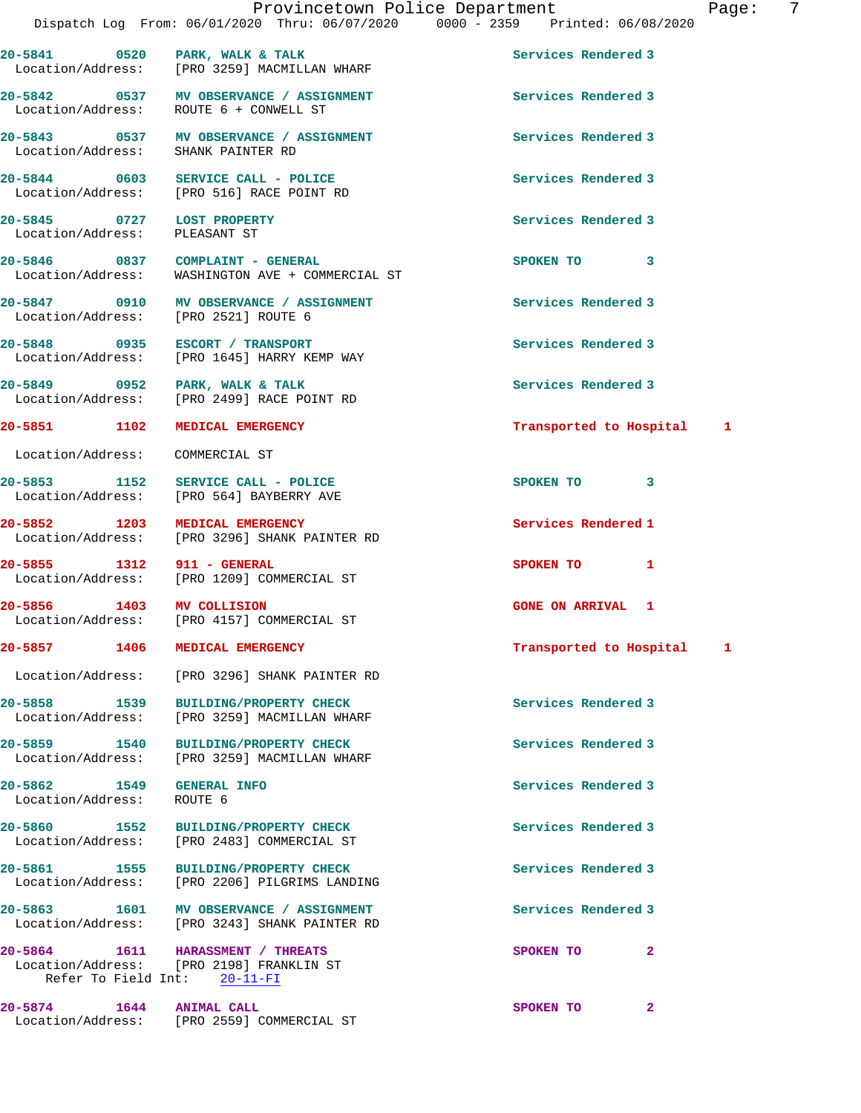| 20-5841 0520 PARK, WALK & TALK                  | Location/Address: [PRO 3259] MACMILLAN WHARF                                                                  | Services Rendered 3       |  |
|-------------------------------------------------|---------------------------------------------------------------------------------------------------------------|---------------------------|--|
|                                                 | 20-5842 0537 MV OBSERVANCE / ASSIGNMENT<br>Location/Address: ROUTE 6 + CONWELL ST                             | Services Rendered 3       |  |
|                                                 | 20-5843 0537 MV OBSERVANCE / ASSIGNMENT<br>Location/Address: SHANK PAINTER RD                                 | Services Rendered 3       |  |
| 20-5844 0603                                    | SERVICE CALL - POLICE<br>Location/Address: [PRO 516] RACE POINT RD                                            | Services Rendered 3       |  |
| 20-5845 0727 LOST PROPERTY<br>Location/Address: | PLEASANT ST                                                                                                   | Services Rendered 3       |  |
|                                                 | 20-5846 0837 COMPLAINT - GENERAL<br>Location/Address: WASHINGTON AVE + COMMERCIAL ST                          | SPOKEN TO 3               |  |
| Location/Address: [PRO 2521] ROUTE 6            | 20-5847 0910 MV OBSERVANCE / ASSIGNMENT                                                                       | Services Rendered 3       |  |
|                                                 | 20-5848 0935 ESCORT / TRANSPORT<br>Location/Address: [PRO 1645] HARRY KEMP WAY                                | Services Rendered 3       |  |
|                                                 | 20-5849 0952 PARK, WALK & TALK<br>Location/Address: [PRO 2499] RACE POINT RD                                  | Services Rendered 3       |  |
| 20-5851 1102 MEDICAL EMERGENCY                  |                                                                                                               | Transported to Hospital 1 |  |
| Location/Address: COMMERCIAL ST                 |                                                                                                               |                           |  |
| 20-5853 1152                                    | SERVICE CALL - POLICE<br>Location/Address: [PRO 564] BAYBERRY AVE                                             | SPOKEN TO 3               |  |
| 20-5852 1203                                    | <b>MEDICAL EMERGENCY</b><br>Location/Address: [PRO 3296] SHANK PAINTER RD                                     | Services Rendered 1       |  |
| 20-5855 1312                                    | 911 - GENERAL<br>Location/Address: [PRO 1209] COMMERCIAL ST                                                   | SPOKEN TO 1               |  |
| 20-5856 1403 MV COLLISION                       | Location/Address: [PRO 4157] COMMERCIAL ST                                                                    | <b>GONE ON ARRIVAL 1</b>  |  |
| 20-5857 1406 MEDICAL EMERGENCY                  |                                                                                                               | Transported to Hospital 1 |  |
|                                                 | Location/Address: [PRO 3296] SHANK PAINTER RD                                                                 |                           |  |
| 20–5858 1539                                    | <b>BUILDING/PROPERTY CHECK</b><br>Location/Address: [PRO 3259] MACMILLAN WHARF                                | Services Rendered 3       |  |
| 20-5859 1540                                    | <b>BUILDING/PROPERTY CHECK</b><br>Location/Address: [PRO 3259] MACMILLAN WHARF                                | Services Rendered 3       |  |
| 20-5862 1549 GENERAL INFO<br>Location/Address:  | ROUTE 6                                                                                                       | Services Rendered 3       |  |
| 20-5860 1552                                    | <b>BUILDING/PROPERTY CHECK</b><br>Location/Address: [PRO 2483] COMMERCIAL ST                                  | Services Rendered 3       |  |
|                                                 | 20-5861 1555 BUILDING/PROPERTY CHECK<br>Location/Address: [PRO 2206] PILGRIMS LANDING                         | Services Rendered 3       |  |
|                                                 | 20-5863 1601 MV OBSERVANCE / ASSIGNMENT<br>Location/Address: [PRO 3243] SHANK PAINTER RD                      | Services Rendered 3       |  |
|                                                 | 20-5864 1611 HARASSMENT / THREATS<br>Location/Address: [PRO 2198] FRANKLIN ST<br>Refer To Field Int: 20-11-FI | 2<br>SPOKEN TO            |  |
| 20-5874 1644 ANIMAL CALL                        | Location/Address: [PRO 2559] COMMERCIAL ST                                                                    | 2<br>SPOKEN TO            |  |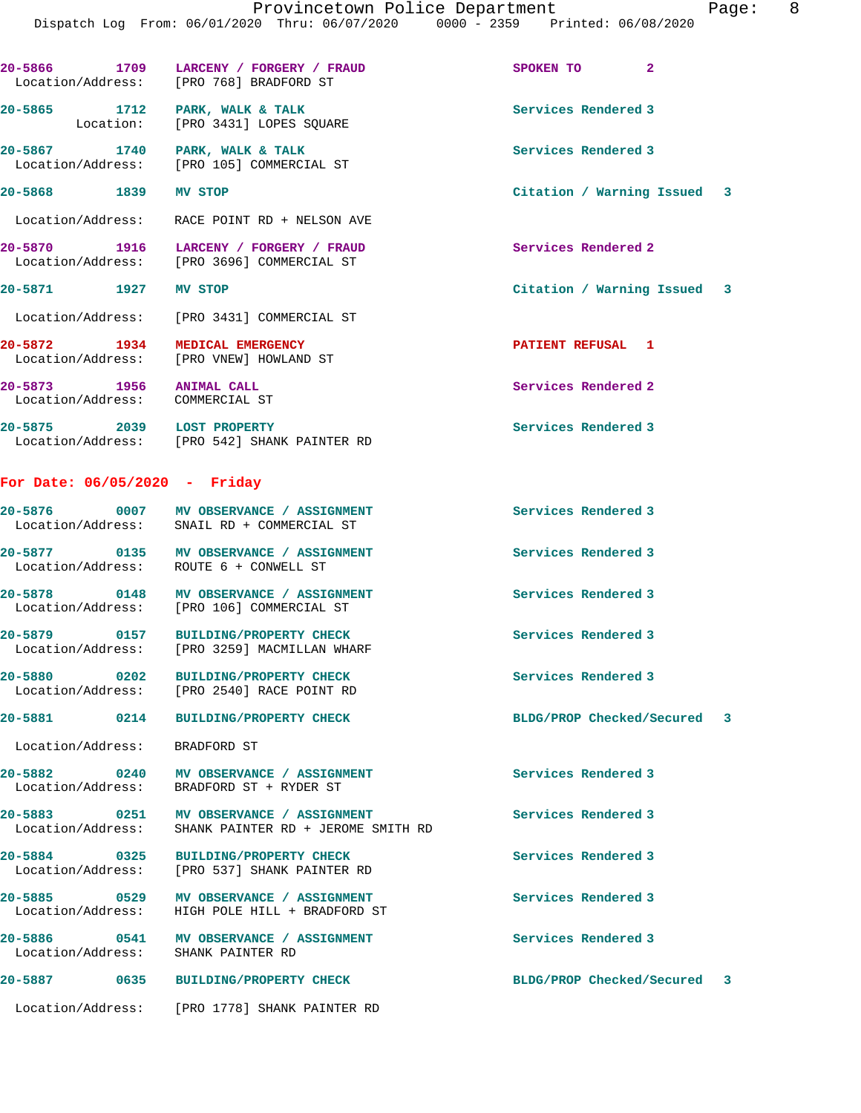**20-5866 1709 LARCENY / FORGERY / FRAUD SPOKEN TO 2**  Location/Address: [PRO 768] BRADFORD ST 20-5865 1712 PARK, WALK & TALK **Services Rendered 3**  Location: [PRO 3431] LOPES SQUARE 20-5867 **1740** PARK, WALK & TALK **Services Rendered 3**  Location/Address: [PRO 105] COMMERCIAL ST **20-5868 1839 MV STOP Citation / Warning Issued 3** Location/Address: RACE POINT RD + NELSON AVE **20-5870 1916 LARCENY / FORGERY / FRAUD Services Rendered 2**  Location/Address: [PRO 3696] COMMERCIAL ST **20-5871 1927 MV STOP Citation / Warning Issued 3** Location/Address: [PRO 3431] COMMERCIAL ST **20-5872 1934 MEDICAL EMERGENCY PATIENT REFUSAL 1**  Location/Address: [PRO VNEW] HOWLAND ST **20-5873 1956 ANIMAL CALL Services Rendered 2**  Location/Address: COMMERCIAL ST **20-5875 2039 LOST PROPERTY Services Rendered 3**  Location/Address: [PRO 542] SHANK PAINTER RD **For Date: 06/05/2020 - Friday 20-5876 0007 MV OBSERVANCE / ASSIGNMENT Services Rendered 3**  Location/Address: SNAIL RD + COMMERCIAL ST

Location/Address: ROUTE 6 + CONWELL ST

**20-5878 0148 MV OBSERVANCE / ASSIGNMENT Services Rendered 3** 

**20-5879 0157 BUILDING/PROPERTY CHECK Services Rendered 3**  Location/Address: [PRO 3259] MACMILLAN WHARF

Location/Address: [PRO 2540] RACE POINT RD

Location/Address: BRADFORD ST

**20-5880 0202 BUILDING/PROPERTY CHECK Services Rendered 3** 

[PRO 106] COMMERCIAL ST

**20-5881 0214 BUILDING/PROPERTY CHECK BLDG/PROP Checked/Secured 3**

**20-5882 0240 MV OBSERVANCE / ASSIGNMENT Services Rendered 3**  Location/Address: BRADFORD ST + RYDER ST

**20-5883 0251 MV OBSERVANCE / ASSIGNMENT Services Rendered 3**  Location/Address: SHANK PAINTER RD + JEROME SMITH RD

**20-5877 0135 MV OBSERVANCE / ASSIGNMENT Services Rendered 3** 

**20-5884 0325 BUILDING/PROPERTY CHECK Services Rendered 3**  Location/Address: [PRO 537] SHANK PAINTER RD

**20-5885 0529 MV OBSERVANCE / ASSIGNMENT Services Rendered 3**  Location/Address: HIGH POLE HILL + BRADFORD ST

**20-5886 0541 MV OBSERVANCE / ASSIGNMENT Services Rendered 3**  Location/Address: SHANK PAINTER RD

**20-5887 0635 BUILDING/PROPERTY CHECK BLDG/PROP Checked/Secured 3**

Location/Address: [PRO 1778] SHANK PAINTER RD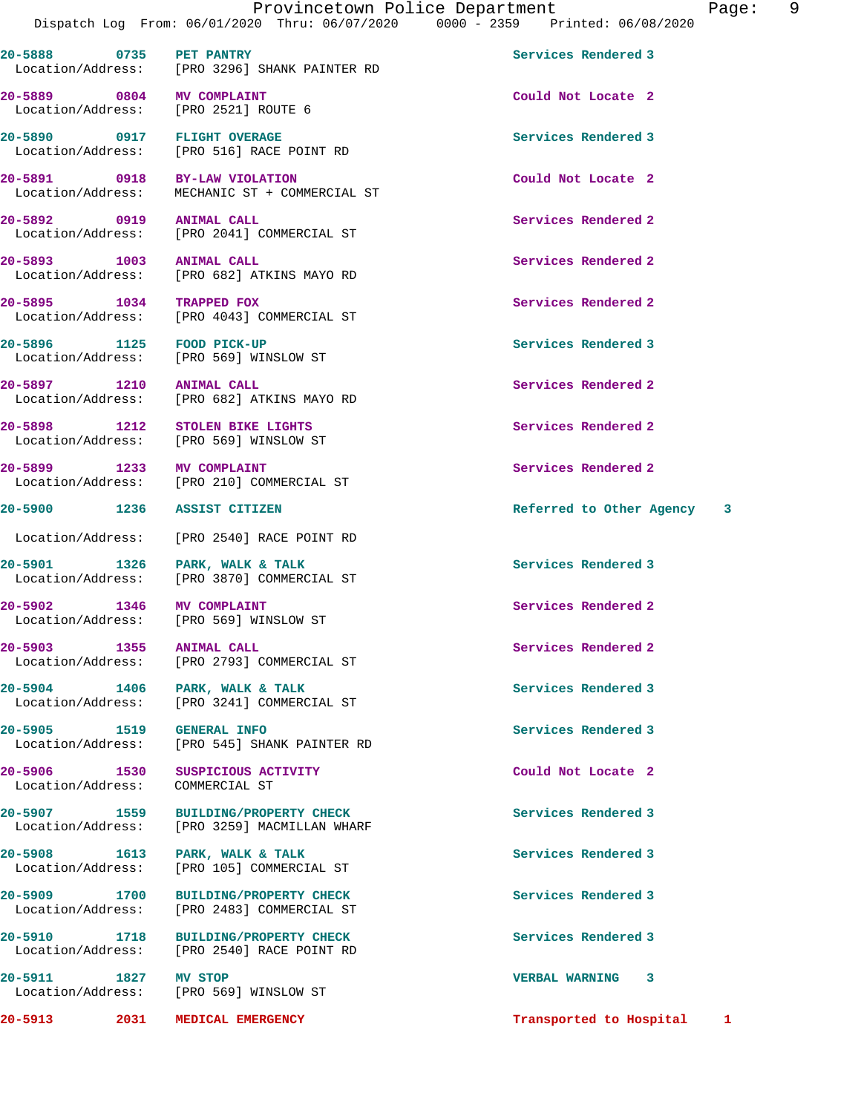**20-5888 0735 PET PANTRY Services Rendered 3**  Location/Address: [PRO 3296] SHANK PAINTER RD

**20-5889 0804 MV COMPLAINT Could Not Locate 2**  Location/Address:

**20-5890 0917 FLIGHT OVERAGE Services Rendered 3**  Location/Address: [PRO 516] RACE POINT RD

**20-5891 0918 BY-LAW VIOLATION Could Not Locate 2**  MECHANIC ST + COMMERCIAL ST

**20-5892 0919 ANIMAL CALL Services Rendered 2**  Location/Address: [PRO 2041] COMMERCIAL ST

**20-5893 1003 ANIMAL CALL Services Rendered 2**  Location/Address: [PRO 682] ATKINS MAYO RD

**20-5895 1034 TRAPPED FOX Services Rendered 2**  Location/Address: [PRO 4043] COMMERCIAL ST

**20-5896 1125 FOOD PICK-UP Services Rendered 3**  Location/Address: [PRO 569] WINSLOW ST

**20-5897 1210 ANIMAL CALL Services Rendered 2**  Location/Address: [PRO 682] ATKINS MAYO RD

**20-5898 1212 STOLEN BIKE LIGHTS Services Rendered 2**  Location/Address: [PRO 569] WINSLOW ST

20-5899 1233 MV COMPLAINT<br>
Location/Address: [PRO 210] COMMERCIAL ST [PRO 210] COMMERCIAL ST

Location/Address: [PRO 2540] RACE POINT RD

20-5901 1326 PARK, WALK & TALK<br>
Location/Address: [PRO 3870] COMMERCIAL ST [PRO 3870] COMMERCIAL ST

**20-5902 1346 MV COMPLAINT Services Rendered 2**  Location/Address: [PRO 569] WINSLOW ST

**20-5903 1355 ANIMAL CALL Services Rendered 2**  Location/Address: [PRO 2793] COMMERCIAL ST

20-5904 1406 PARK, WALK & TALK **Services Rendered 3** Location/Address: [PRO 3241] COMMERCIAL ST

**20-5905 1519 GENERAL INFO Services Rendered 3**  Location/Address: [PRO 545] SHANK PAINTER RD

20-5906 1530 SUSPICIOUS ACTIVITY **1590 Could Not Locate 2**<br>
Location/Address: COMMERCIAL ST

Location/Address:

Location/Address:

**20-5907 1559 BUILDING/PROPERTY CHECK Services Rendered 3**  Location/Address: [PRO 3259] MACMILLAN WHARF

**20-5908 1613 PARK, WALK & TALK Services Rendered 3**  Location/Address: [PRO 105] COMMERCIAL ST

**20-5909 1700 BUILDING/PROPERTY CHECK Services Rendered 3**  Location/Address: [PRO 2483] COMMERCIAL ST

**20-5910 1718 BUILDING/PROPERTY CHECK Services Rendered 3**  Location/Address: [PRO 2540] RACE POINT RD

**20-5911 1827 MV STOP VERBAL WARNING 3** 

**20-5900 1236 ASSIST CITIZEN Referred to Other Agency 3**

**20-5913 2031 MEDICAL EMERGENCY Transported to Hospital 1**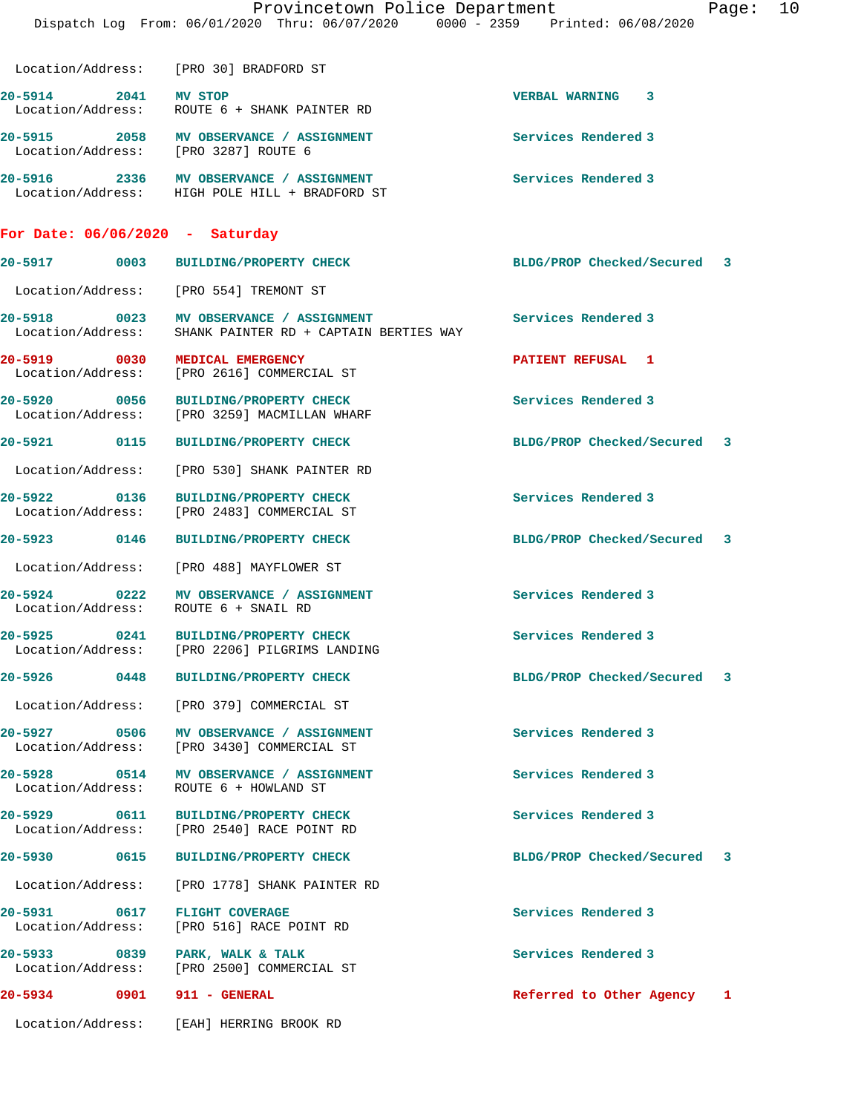|                                      | Provincetown Police Department<br>Dispatch Log From: 06/01/2020 Thru: 06/07/2020 0000 - 2359 Printed: 06/08/2020 | Page:                       | 10 |
|--------------------------------------|------------------------------------------------------------------------------------------------------------------|-----------------------------|----|
|                                      | Location/Address: [PRO 30] BRADFORD ST                                                                           |                             |    |
| 20-5914 2041                         | <b>MV STOP</b><br>Location/Address: ROUTE 6 + SHANK PAINTER RD                                                   | <b>VERBAL WARNING 3</b>     |    |
|                                      | 20-5915 2058 MV OBSERVANCE / ASSIGNMENT<br>Location/Address: [PRO 3287] ROUTE 6                                  | Services Rendered 3         |    |
|                                      | 20-5916 2336 MV OBSERVANCE / ASSIGNMENT<br>Location/Address: HIGH POLE HILL + BRADFORD ST                        | Services Rendered 3         |    |
| For Date: $06/06/2020$ - Saturday    |                                                                                                                  |                             |    |
|                                      | 20-5917 0003 BUILDING/PROPERTY CHECK                                                                             | BLDG/PROP Checked/Secured 3 |    |
|                                      | Location/Address: [PRO 554] TREMONT ST                                                                           |                             |    |
|                                      | 20-5918 0023 MV OBSERVANCE / ASSIGNMENT<br>Location/Address: SHANK PAINTER RD + CAPTAIN BERTIES WAY              | Services Rendered 3         |    |
|                                      | 20-5919 0030 MEDICAL EMERGENCY<br>Location/Address: [PRO 2616] COMMERCIAL ST                                     | PATIENT REFUSAL 1           |    |
| 20-5920                              | 0056 BUILDING/PROPERTY CHECK<br>Location/Address: [PRO 3259] MACMILLAN WHARF                                     | Services Rendered 3         |    |
|                                      | 20-5921 0115 BUILDING/PROPERTY CHECK                                                                             | BLDG/PROP Checked/Secured 3 |    |
|                                      | Location/Address: [PRO 530] SHANK PAINTER RD                                                                     |                             |    |
| Location/Address:                    | 20-5922 0136 BUILDING/PROPERTY CHECK<br>[PRO 2483] COMMERCIAL ST                                                 | Services Rendered 3         |    |
| 20-5923 0146                         | <b>BUILDING/PROPERTY CHECK</b>                                                                                   | BLDG/PROP Checked/Secured 3 |    |
|                                      | Location/Address: [PRO 488] MAYFLOWER ST                                                                         |                             |    |
|                                      | 20-5924 0222 MV OBSERVANCE / ASSIGNMENT<br>Location/Address: ROUTE 6 + SNAIL RD                                  | Services Rendered 3         |    |
| 20-5925<br>0241<br>Location/Address: | <b>BUILDING/PROPERTY CHECK</b><br>[PRO 2206] PILGRIMS LANDING                                                    | Services Rendered 3         |    |
| 20-5926 0448                         | <b>BUILDING/PROPERTY CHECK</b>                                                                                   | BLDG/PROP Checked/Secured 3 |    |
| Location/Address:                    | [PRO 379] COMMERCIAL ST                                                                                          |                             |    |
| 20-5927 0506                         | MV OBSERVANCE / ASSIGNMENT<br>Location/Address: [PRO 3430] COMMERCIAL ST                                         | Services Rendered 3         |    |
| 20-5928 0514<br>Location/Address:    | MV OBSERVANCE / ASSIGNMENT<br>ROUTE 6 + HOWLAND ST                                                               | Services Rendered 3         |    |
| 20-5929 0611<br>Location/Address:    | <b>BUILDING/PROPERTY CHECK</b><br>[PRO 2540] RACE POINT RD                                                       | Services Rendered 3         |    |
| 20-5930 0615                         | <b>BUILDING/PROPERTY CHECK</b>                                                                                   | BLDG/PROP Checked/Secured 3 |    |
| Location/Address:                    | [PRO 1778] SHANK PAINTER RD                                                                                      |                             |    |
| 20-5931 0617<br>Location/Address:    | <b>FLIGHT COVERAGE</b><br>[PRO 516] RACE POINT RD                                                                | Services Rendered 3         |    |
| Location/Address:                    | 20-5933 0839 PARK, WALK & TALK<br>[PRO 2500] COMMERCIAL ST                                                       | Services Rendered 3         |    |
| 20-5934 0901 911 - GENERAL           |                                                                                                                  | Referred to Other Agency 1  |    |
|                                      | Location/Address: [EAH] HERRING BROOK RD                                                                         |                             |    |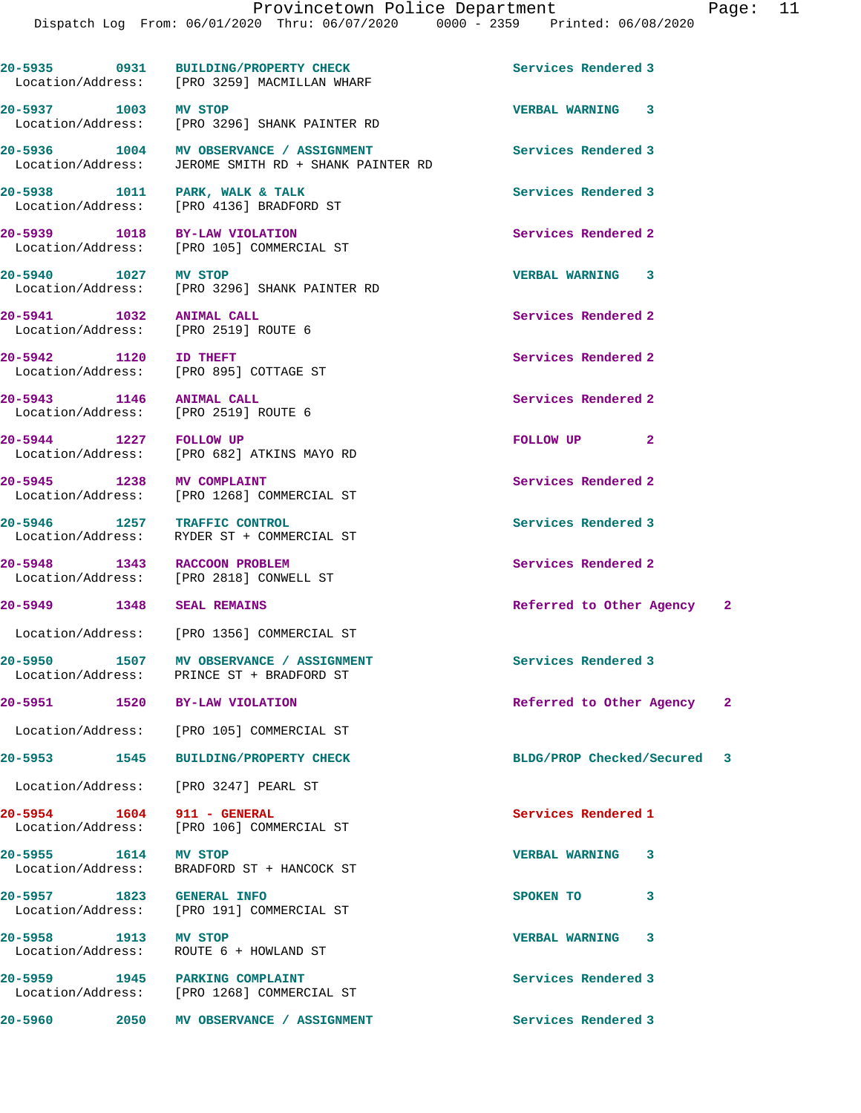|                            |      | 20-5935 0931 BUILDING/PROPERTY CHECK<br>Location/Address: [PRO 3259] MACMILLAN WHARF            | Services Rendered 3         |   |   |
|----------------------------|------|-------------------------------------------------------------------------------------------------|-----------------------------|---|---|
| 20-5937 1003 MV STOP       |      | Location/Address: [PRO 3296] SHANK PAINTER RD                                                   | <b>VERBAL WARNING 3</b>     |   |   |
|                            |      | 20-5936 1004 MV OBSERVANCE / ASSIGNMENT<br>Location/Address: JEROME SMITH RD + SHANK PAINTER RD | Services Rendered 3         |   |   |
|                            |      | 20-5938 1011 PARK, WALK & TALK<br>Location/Address: [PRO 4136] BRADFORD ST                      | Services Rendered 3         |   |   |
|                            |      | 20-5939 1018 BY-LAW VIOLATION<br>Location/Address: [PRO 105] COMMERCIAL ST                      | Services Rendered 2         |   |   |
| 20-5940 1027 MV STOP       |      | Location/Address: [PRO 3296] SHANK PAINTER RD                                                   | <b>VERBAL WARNING 3</b>     |   |   |
| 20-5941 1032 ANIMAL CALL   |      | Location/Address: [PRO 2519] ROUTE 6                                                            | Services Rendered 2         |   |   |
| 20-5942 1120               |      | <b>ID THEFT</b><br>Location/Address: [PRO 895] COTTAGE ST                                       | Services Rendered 2         |   |   |
| 20-5943 1146               |      | <b>ANIMAL CALL</b><br>Location/Address: [PRO 2519] ROUTE 6                                      | Services Rendered 2         |   |   |
| 20-5944 1227               |      | <b>FOLLOW UP</b><br>Location/Address: [PRO 682] ATKINS MAYO RD                                  | FOLLOW UP <sub>2</sub>      |   |   |
| 20-5945 1238 MV COMPLAINT  |      | Location/Address: [PRO 1268] COMMERCIAL ST                                                      | Services Rendered 2         |   |   |
|                            |      | 20-5946 1257 TRAFFIC CONTROL<br>Location/Address: RYDER ST + COMMERCIAL ST                      | Services Rendered 3         |   |   |
|                            |      | 20-5948 1343 RACCOON PROBLEM<br>Location/Address: [PRO 2818] CONWELL ST                         | Services Rendered 2         |   |   |
| 20-5949 1348 SEAL REMAINS  |      |                                                                                                 | Referred to Other Agency 2  |   |   |
|                            |      | Location/Address: [PRO 1356] COMMERCIAL ST                                                      |                             |   |   |
|                            |      | 20-5950 1507 MV OBSERVANCE / ASSIGNMENT<br>Location/Address: PRINCE ST + BRADFORD ST            | Services Rendered 3         |   |   |
| 20-5951 20-                |      | 1520 BY-LAW VIOLATION                                                                           | Referred to Other Agency    |   | 2 |
|                            |      | Location/Address: [PRO 105] COMMERCIAL ST                                                       |                             |   |   |
| 20–5953 1545               |      | <b>BUILDING/PROPERTY CHECK</b>                                                                  | BLDG/PROP Checked/Secured 3 |   |   |
|                            |      | Location/Address: [PRO 3247] PEARL ST                                                           |                             |   |   |
| 20-5954 1604 911 - GENERAL |      | Location/Address: [PRO 106] COMMERCIAL ST                                                       | Services Rendered 1         |   |   |
| 20-5955 1614               |      | <b>MV STOP</b><br>Location/Address: BRADFORD ST + HANCOCK ST                                    | <b>VERBAL WARNING</b>       | 3 |   |
| 20-5957 1823               |      | <b>GENERAL INFO</b><br>Location/Address: [PRO 191] COMMERCIAL ST                                | SPOKEN TO                   | 3 |   |
| 20-5958 1913               |      | MV STOP<br>Location/Address:    ROUTE 6 + HOWLAND ST                                            | <b>VERBAL WARNING</b>       | 3 |   |
|                            |      | 20-5959 1945 PARKING COMPLAINT<br>Location/Address: [PRO 1268] COMMERCIAL ST                    | Services Rendered 3         |   |   |
| 20-5960                    | 2050 | MV OBSERVANCE / ASSIGNMENT                                                                      | Services Rendered 3         |   |   |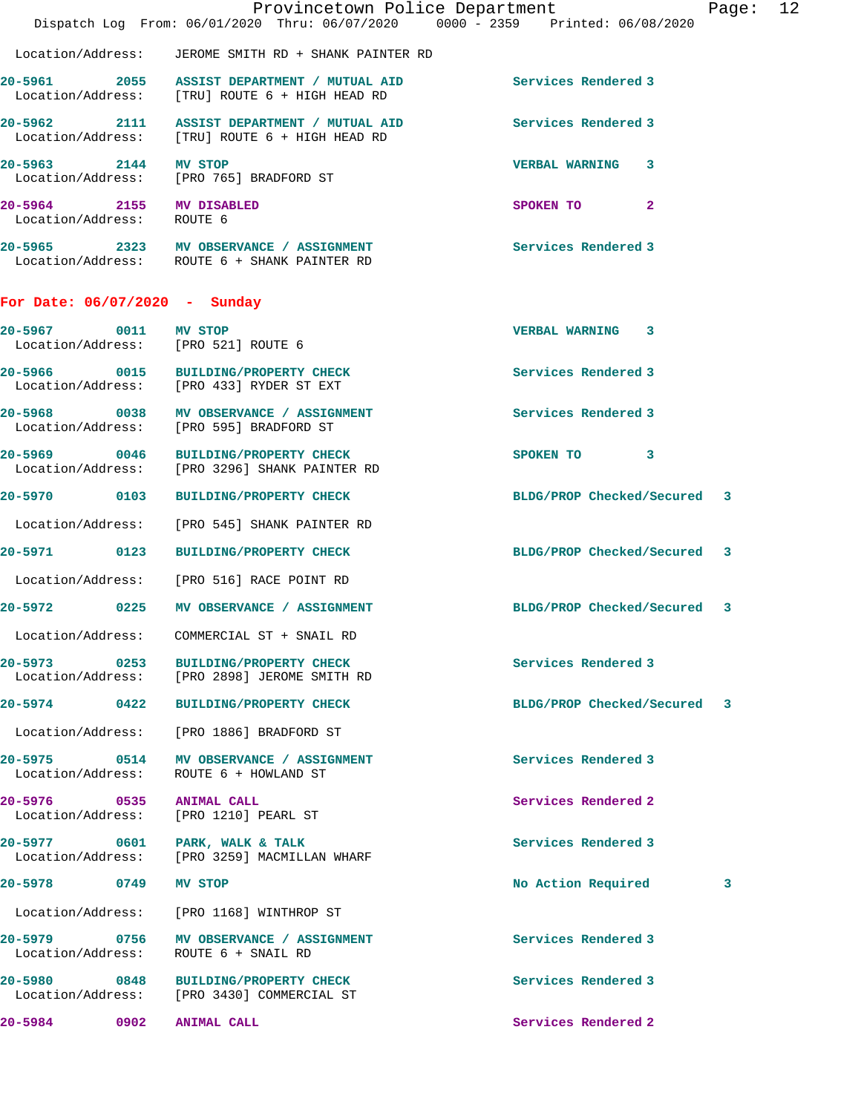|                                                       | Provincetown Police Department<br>Dispatch Log From: 06/01/2020 Thru: 06/07/2020 0000 - 2359 Printed: 06/08/2020  |                             | Page: 12 |  |
|-------------------------------------------------------|-------------------------------------------------------------------------------------------------------------------|-----------------------------|----------|--|
|                                                       | Location/Address: JEROME SMITH RD + SHANK PAINTER RD                                                              |                             |          |  |
|                                                       | 20-5961 2055 ASSIST DEPARTMENT / MUTUAL AID Services Rendered 3<br>Location/Address: [TRU] ROUTE 6 + HIGH HEAD RD |                             |          |  |
|                                                       | 20-5962 2111 ASSIST DEPARTMENT / MUTUAL AID<br>Location/Address: [TRU] ROUTE 6 + HIGH HEAD RD                     | Services Rendered 3         |          |  |
| 20-5963 2144 MV STOP                                  | Location/Address: [PRO 765] BRADFORD ST                                                                           | VERBAL WARNING 3            |          |  |
| 20-5964 2155 MV DISABLED<br>Location/Address: ROUTE 6 |                                                                                                                   | SPOKEN TO 2                 |          |  |
|                                                       | 20-5965 2323 MV OBSERVANCE / ASSIGNMENT<br>Location/Address: ROUTE 6 + SHANK PAINTER RD                           | Services Rendered 3         |          |  |
| For Date: $06/07/2020 -$ Sunday                       |                                                                                                                   |                             |          |  |
|                                                       | 20-5967 0011 MV STOP<br>Location/Address: [PRO 521] ROUTE 6                                                       | <b>VERBAL WARNING 3</b>     |          |  |
|                                                       | 20-5966 0015 BUILDING/PROPERTY CHECK<br>Location/Address: [PRO 433] RYDER ST EXT                                  | Services Rendered 3         |          |  |
|                                                       | 20-5968 0038 MV OBSERVANCE / ASSIGNMENT<br>Location/Address: [PRO 595] BRADFORD ST                                | Services Rendered 3         |          |  |
|                                                       | 20-5969 0046 BUILDING/PROPERTY CHECK<br>Location/Address: [PRO 3296] SHANK PAINTER RD                             | SPOKEN TO 3                 |          |  |
|                                                       | 20-5970 0103 BUILDING/PROPERTY CHECK                                                                              | BLDG/PROP Checked/Secured 3 |          |  |
|                                                       | Location/Address: [PRO 545] SHANK PAINTER RD                                                                      |                             |          |  |
|                                                       | 20-5971 0123 BUILDING/PROPERTY CHECK                                                                              | BLDG/PROP Checked/Secured 3 |          |  |
|                                                       | Location/Address: [PRO 516] RACE POINT RD                                                                         |                             |          |  |
|                                                       | 20-5972 0225 MV OBSERVANCE / ASSIGNMENT                                                                           | BLDG/PROP Checked/Secured 3 |          |  |
| Location/Address:                                     | COMMERCIAL ST + SNAIL RD                                                                                          |                             |          |  |
|                                                       | 20-5973 0253 BUILDING/PROPERTY CHECK<br>Location/Address: [PRO 2898] JEROME SMITH RD                              | Services Rendered 3         |          |  |
|                                                       | 20-5974 0422 BUILDING/PROPERTY CHECK                                                                              | BLDG/PROP Checked/Secured 3 |          |  |
|                                                       | Location/Address: [PRO 1886] BRADFORD ST                                                                          |                             |          |  |
|                                                       | 20-5975 0514 MV OBSERVANCE / ASSIGNMENT<br>Location/Address: ROUTE 6 + HOWLAND ST                                 | Services Rendered 3         |          |  |
| 20-5976 0535 ANIMAL CALL                              | Location/Address: [PRO 1210] PEARL ST                                                                             | Services Rendered 2         |          |  |
|                                                       | 20-5977 0601 PARK, WALK & TALK<br>Location/Address: [PRO 3259] MACMILLAN WHARF                                    | Services Rendered 3         |          |  |
| 20-5978 0749 MV STOP                                  |                                                                                                                   | No Action Required          | 3        |  |
|                                                       | Location/Address: [PRO 1168] WINTHROP ST                                                                          |                             |          |  |
|                                                       | 20-5979 0756 MV OBSERVANCE / ASSIGNMENT<br>Location/Address: ROUTE 6 + SNAIL RD                                   | Services Rendered 3         |          |  |
|                                                       | 20-5980 0848 BUILDING/PROPERTY CHECK<br>Location/Address: [PRO 3430] COMMERCIAL ST                                | Services Rendered 3         |          |  |
| 20-5984 0902 ANIMAL CALL                              |                                                                                                                   | Services Rendered 2         |          |  |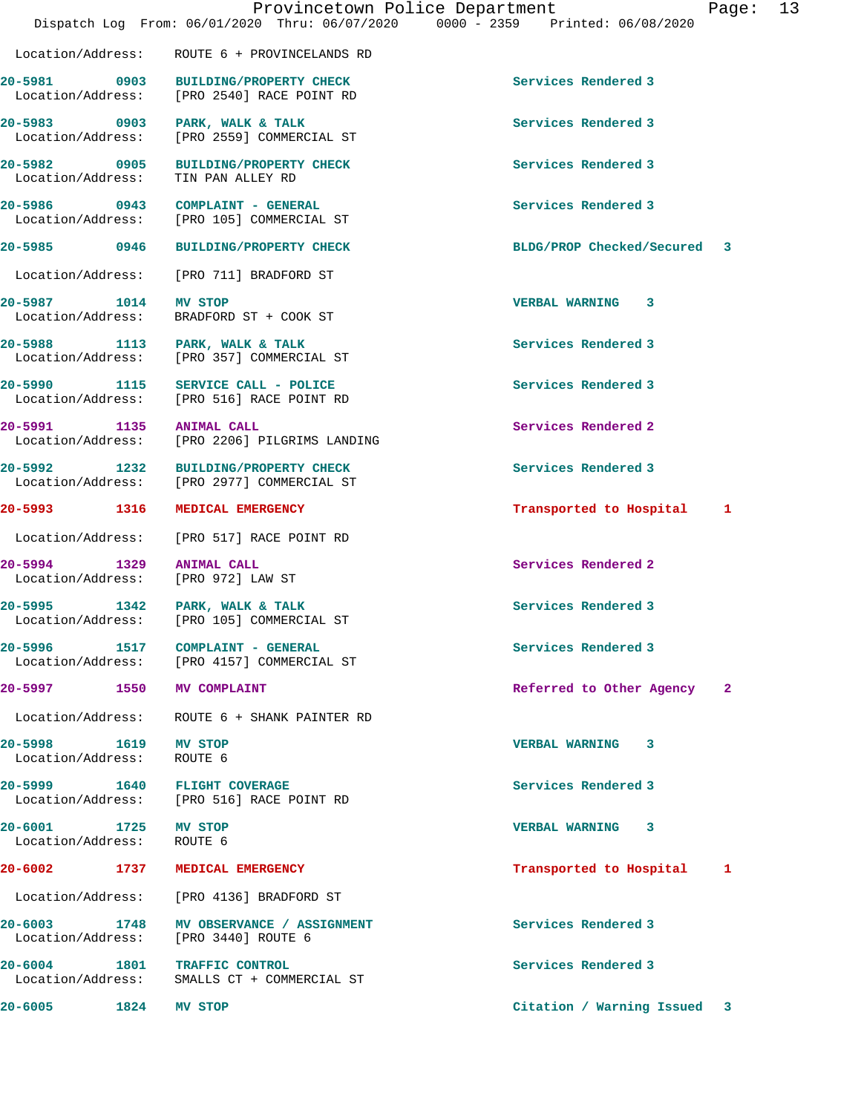|                                                                | Provincetown Police Department                                                     | Dispatch Log From: 06/01/2020 Thru: 06/07/2020 0000 - 2359 Printed: 06/08/2020 | Page:        | 13 |
|----------------------------------------------------------------|------------------------------------------------------------------------------------|--------------------------------------------------------------------------------|--------------|----|
|                                                                | Location/Address: ROUTE 6 + PROVINCELANDS RD                                       |                                                                                |              |    |
|                                                                | 20-5981 0903 BUILDING/PROPERTY CHECK<br>Location/Address: [PRO 2540] RACE POINT RD | Services Rendered 3                                                            |              |    |
|                                                                | 20-5983 0903 PARK, WALK & TALK<br>Location/Address: [PRO 2559] COMMERCIAL ST       | Services Rendered 3                                                            |              |    |
|                                                                | 20-5982 0905 BUILDING/PROPERTY CHECK<br>Location/Address: TIN PAN ALLEY RD         | Services Rendered 3                                                            |              |    |
|                                                                | 20-5986 0943 COMPLAINT - GENERAL<br>Location/Address: [PRO 105] COMMERCIAL ST      | Services Rendered 3                                                            |              |    |
|                                                                | 20-5985 0946 BUILDING/PROPERTY CHECK                                               | BLDG/PROP Checked/Secured 3                                                    |              |    |
| Location/Address:                                              | [PRO 711] BRADFORD ST                                                              |                                                                                |              |    |
| 20-5987 1014 MV STOP                                           | Location/Address: BRADFORD ST + COOK ST                                            | <b>VERBAL WARNING 3</b>                                                        |              |    |
|                                                                | 20-5988 1113 PARK, WALK & TALK<br>Location/Address: [PRO 357] COMMERCIAL ST        | Services Rendered 3                                                            |              |    |
|                                                                | 20-5990 1115 SERVICE CALL - POLICE<br>Location/Address: [PRO 516] RACE POINT RD    | Services Rendered 3                                                            |              |    |
| 20-5991 1135 ANIMAL CALL                                       | Location/Address: [PRO 2206] PILGRIMS LANDING                                      | Services Rendered 2                                                            |              |    |
|                                                                | 20-5992 1232 BUILDING/PROPERTY CHECK<br>Location/Address: [PRO 2977] COMMERCIAL ST | Services Rendered 3                                                            |              |    |
| 20-5993 1316                                                   | <b>MEDICAL EMERGENCY</b>                                                           | Transported to Hospital                                                        | 1            |    |
|                                                                | Location/Address: [PRO 517] RACE POINT RD                                          |                                                                                |              |    |
| 20-5994 1329 ANIMAL CALL<br>Location/Address: [PRO 972] LAW ST |                                                                                    | Services Rendered 2                                                            |              |    |
|                                                                | 20-5995 1342 PARK, WALK & TALK<br>Location/Address: [PRO 105] COMMERCIAL ST        | Services Rendered 3                                                            |              |    |
|                                                                | 20-5996 1517 COMPLAINT - GENERAL<br>Location/Address: [PRO 4157] COMMERCIAL ST     | Services Rendered 3                                                            |              |    |
| 20-5997 1550 MV COMPLAINT                                      |                                                                                    | Referred to Other Agency                                                       | $\mathbf{2}$ |    |
|                                                                | Location/Address: ROUTE 6 + SHANK PAINTER RD                                       |                                                                                |              |    |
| 20-5998 1619<br>Location/Address: ROUTE 6                      | MV STOP                                                                            | VERBAL WARNING 3                                                               |              |    |
| 20-5999 1640 FLIGHT COVERAGE                                   | Location/Address: [PRO 516] RACE POINT RD                                          | Services Rendered 3                                                            |              |    |
| 20-6001 1725 MV STOP<br>Location/Address: ROUTE 6              |                                                                                    | VERBAL WARNING 3                                                               |              |    |
| 20-6002 1737                                                   | MEDICAL EMERGENCY                                                                  | Transported to Hospital                                                        | 1            |    |
| Location/Address:                                              | [PRO 4136] BRADFORD ST                                                             |                                                                                |              |    |
| 20-6003 1748<br>Location/Address:                              | MV OBSERVANCE / ASSIGNMENT<br>[PRO 3440] ROUTE 6                                   | Services Rendered 3                                                            |              |    |
| 20-6004 1801 TRAFFIC CONTROL                                   | Location/Address: SMALLS CT + COMMERCIAL ST                                        | Services Rendered 3                                                            |              |    |
| 20-6005 1824                                                   | MV STOP                                                                            | Citation / Warning Issued 3                                                    |              |    |